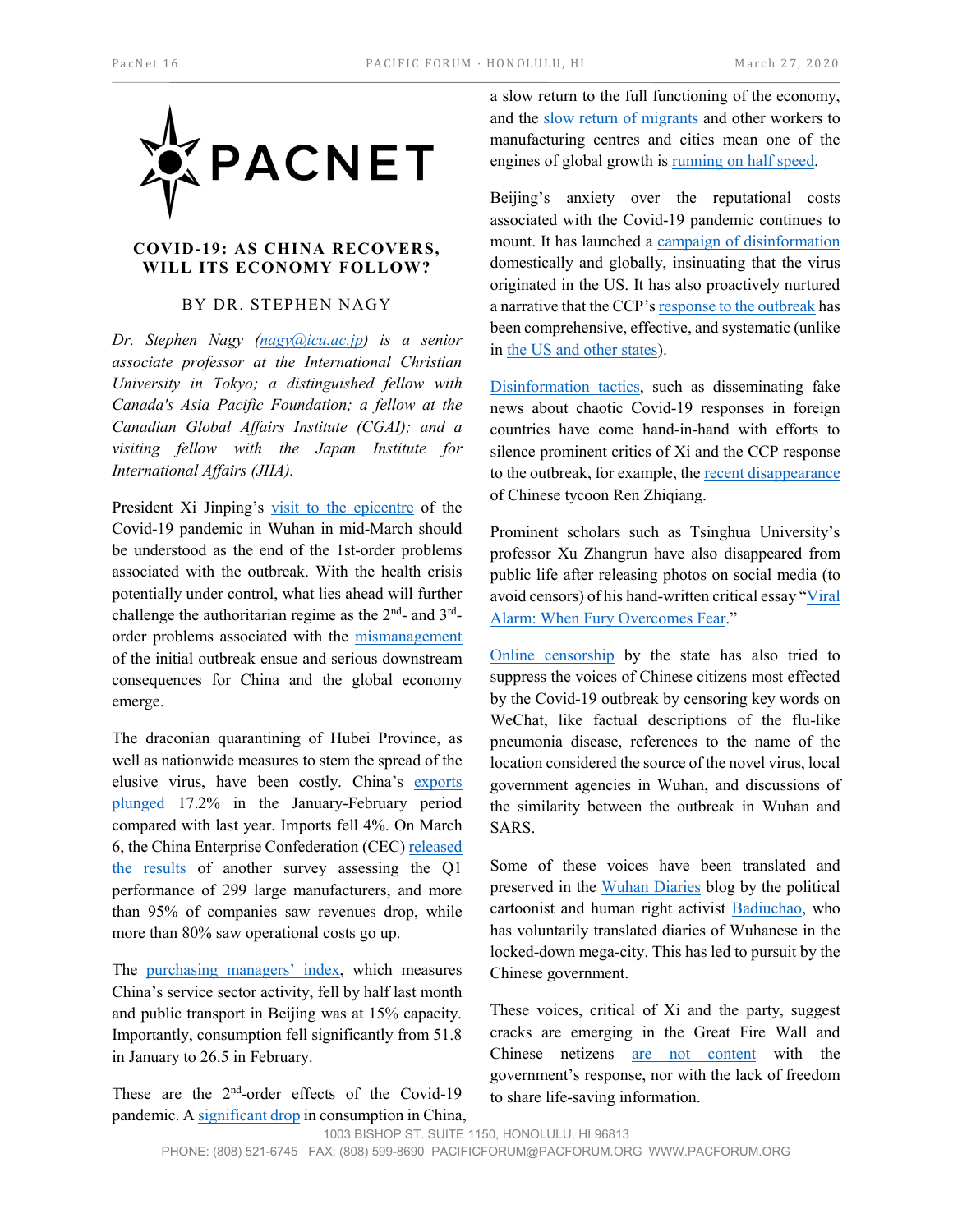

## **COVID-19: AS CHINA RECOVERS, WILL ITS ECONOMY FOLLOW?**

## BY DR. STEPHEN NAGY

*Dr. Stephen Nagy [\(nagy@icu.ac.jp\)](mailto:nagy@icu.ac.jp) is a senior associate professor at the International Christian University in Tokyo; a distinguished fellow with Canada's Asia Pacific Foundation; a fellow at the Canadian Global Affairs Institute (CGAI); and a visiting fellow with the Japan Institute for International Affairs (JIIA).*

President Xi Jinping's [visit to the epicentre](http://www.xinhuanet.com/english/2020-03/10/c_138863611.htm) of the Covid-19 pandemic in Wuhan in mid-March should be understood as the end of the 1st-order problems associated with the outbreak. With the health crisis potentially under control, what lies ahead will further challenge the authoritarian regime as the  $2<sup>nd</sup>$ - and  $3<sup>rd</sup>$ order problems associated with the [mismanagement](https://www.axios.com/timeline-the-early-days-of-chinas-coronavirus-outbreak-and-cover-up-ee65211a-afb6-4641-97b8-353718a5faab.html) of the initial outbreak ensue and serious downstream consequences for China and the global economy emerge.

The draconian quarantining of Hubei Province, as well as nationwide measures to stem the spread of the elusive virus, have been costly. China's [exports](https://www.marketwatch.com/story/china-exports-plunge-17-in-jan-feb-amid-coronavirus-epidemic-2020-03-07)  [plunged](https://www.marketwatch.com/story/china-exports-plunge-17-in-jan-feb-amid-coronavirus-epidemic-2020-03-07) 17.2% in the January-February period compared with last year. Imports fell 4%. On March 6, the China Enterprise Confederation (CEC[\) released](https://triviumchina.com/2020/03/09/predictably-grim-china-tip-sheet-mar-9-2020/?utm_source=rss&utm_medium=rss&utm_campaign=predictably-grim-china-tip-sheet-mar-9-2020)  [the results](https://triviumchina.com/2020/03/09/predictably-grim-china-tip-sheet-mar-9-2020/?utm_source=rss&utm_medium=rss&utm_campaign=predictably-grim-china-tip-sheet-mar-9-2020) of another survey assessing the Q1 performance of 299 large manufacturers, and more than 95% of companies saw revenues drop, while more than 80% saw operational costs go up.

The [purchasing managers' index,](https://tradingeconomics.com/china/manufacturing-pmi) which measures China's service sector activity, fell by half last month and public transport in Beijing was at 15% capacity. Importantly, consumption fell significantly from 51.8 in January to 26.5 in February.

These are the 2<sup>nd</sup>-order effects of the Covid-19 pandemic. [A significant drop](https://www.scmp.com/business/china-business/article/3075403/more-chinas-local-governments-companies-resort-coupons?mc_cid=0d3e889d1a&mc_eid=7239aa29b1) in consumption in China, a slow return to the full functioning of the economy, and the [slow return of migrants](https://www.channelnewsasia.com/news/business/coronavirus-covid19-china-migrant-workers-factories-12483006) and other workers to manufacturing centres and cities mean one of the engines of global growth is [running on half speed.](https://www.marketwatch.com/story/us-factories-are-likely-to-close-because-of-the-coronavirus-supply-chain-shock-2020-03-16)

Beijing's anxiety over the reputational costs associated with the Covid-19 pandemic continues to mount. It has launched a [campaign of disinformation](https://twitter.com/zlj517/status/1238269193427906560?s=21) domestically and globally, insinuating that the virus originated in the US. It has also proactively nurtured a narrative that the CCP'[s response to the outbreak](http://www.xinhuanet.com/english/2020-03/13/c_138875449.htm) has been comprehensive, effective, and systematic (unlike in [the US and other states\)](http://www.xinhuanet.com/english/2020-03/18/c_138892521.htm).

[Disinformation tactics,](https://www.sixthtone.com/news/1005339/to-learn-about-pandemic-abroad%2C-chinese-sift-through-fake-news?utm_source=Pico&utm_campaign=91c0571ebc-EMAIL_CAMPAIGN_2020_03_19_10_48&utm_medium=email&utm_term=0_aa6d5ab160-91c0571ebc-165461217) such as disseminating fake news about chaotic Covid-19 responses in foreign countries have come hand-in-hand with efforts to silence prominent critics of Xi and the CCP response to the outbreak, for example, th[e recent disappearance](https://www.dw.com/en/chinese-tycoon-missing-after-criticizing-coronavirus-response/a-52780850) of Chinese tycoon Ren Zhiqiang.

Prominent scholars such as Tsinghua University's professor Xu Zhangrun have also disappeared from public life after releasing photos on social media (to avoid censors) of his hand-written critical essay ["Viral](https://www.chinafile.com/reporting-opinion/viewpoint/viral-alarm-when-fury-overcomes-fear)  [Alarm: When Fury Overcomes Fear.](https://www.chinafile.com/reporting-opinion/viewpoint/viral-alarm-when-fury-overcomes-fear)"

[Online censorship](https://citizenlab.ca/2020/03/censored-contagion-how-information-on-the-coronavirus-is-managed-on-chinese-social-media/) by the state has also tried to suppress the voices of Chinese citizens most effected by the Covid-19 outbreak by censoring key words on WeChat, like factual descriptions of the flu-like pneumonia disease, references to the name of the location considered the source of the novel virus, local government agencies in Wuhan, and discussions of the similarity between the outbreak in Wuhan and SARS.

Some of these voices have been translated and preserved in the [Wuhan Diaries](https://www.badiucao.com/post/day42-wuhan-diary) blog by the political cartoonist and human right activist [Badiuchao,](https://www.badiucao.com/post/day42-wuhan-diary) who has voluntarily translated diaries of Wuhanese in the locked-down mega-city. This has led to pursuit by the Chinese government.

These voices, critical of Xi and the party, suggest cracks are emerging in the Great Fire Wall and Chinese netizens [are not content](https://asia.nikkei.com/Editor-s-Picks/China-up-close/Campaign-to-thank-Xi-Jinping-flatly-rejected-by-Wuhan-citizens) with the government's response, nor with the lack of freedom to share life-saving information.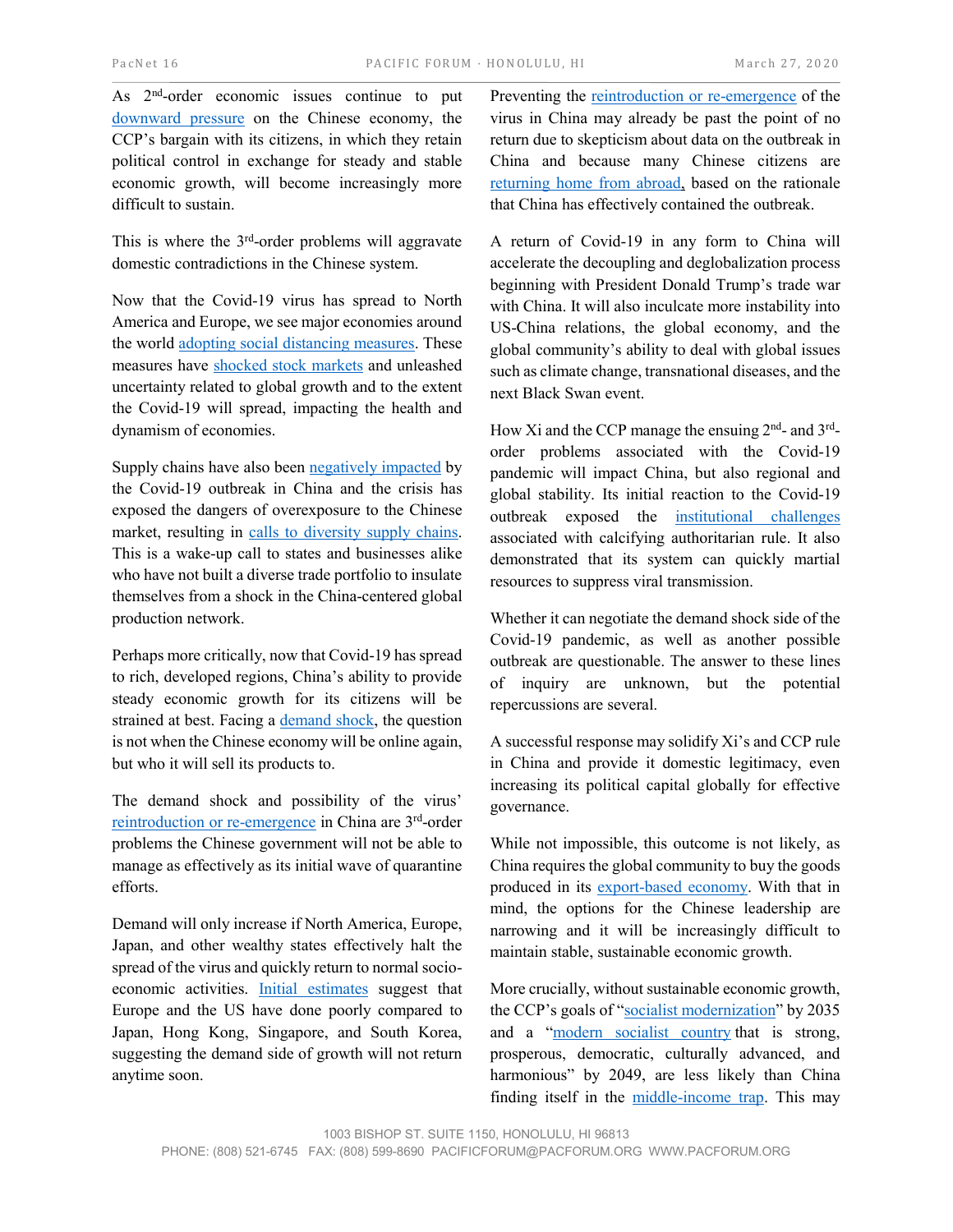As 2nd-order economic issues continue to put [downward pressure](http://www.china.org.cn/china/2020-03/19/content_75832215.htm) on the Chinese economy, the CCP's bargain with its citizens, in which they retain political control in exchange for steady and stable economic growth, will become increasingly more difficult to sustain.

This is where the  $3<sup>rd</sup>$ -order problems will aggravate domestic contradictions in the Chinese system.

Now that the Covid-19 virus has spread to North America and Europe, we see major economies around the world [adopting social distancing measures.](https://www.rand.org/blog/2020/03/the-social-distancing-economy-qa-with-rand-experts.html?utm_source=WhatCountsEmail&utm_medium=RAND%20Policy%20Currents+AEM:%20%20Email%20Address%20NOT%20LIKE%20DOTMIL&utm_campaign=AEM:631600804) These measures have [shocked stock markets](https://www.marketwatch.com/story/5-reasons-coronavirus-crushed-the-dow-and-left-global-financial-markets-broken-this-week-2020-03-13) and unleashed uncertainty related to global growth and to the extent the Covid-19 will spread, impacting the health and dynamism of economies.

Supply chains have also been [negatively impacted](https://www.dnb.com/perspectives/supply-chain/coronavirus-business-impact.html) by the Covid-19 outbreak in China and the crisis has exposed the dangers of overexposure to the Chinese market, resulting in [calls to diversity supply chains.](https://www.bruegel.org/2020/02/companies-must-move-supply-chains-further-from-china/) This is a wake-up call to states and businesses alike who have not built a diverse trade portfolio to insulate themselves from a shock in the China-centered global production network.

Perhaps more critically, now that Covid-19 has spread to rich, developed regions, China's ability to provide steady economic growth for its citizens will be strained at best. Facing [a demand shock,](https://www.bloomberg.com/news/videos/2020-03-16/virus-could-cause-epic-demand-shock-says-academy-securities-tchir-video) the question is not when the Chinese economy will be online again, but who it will sell its products to.

The demand shock and possibility of the virus' [reintroduction or re-emergence](https://www.nature.com/articles/d41586-020-00741-x) in China are 3rd-order problems the Chinese government will not be able to manage as effectively as its initial wave of quarantine efforts.

Demand will only increase if North America, Europe, Japan, and other wealthy states effectively halt the spread of the virus and quickly return to normal socioeconomic activities. [Initial estimates](https://www.vox.com/policy-and-politics/2020/3/13/21178289/confirmed-coronavirus-cases-us-countries-italy-iran-singapore-hong-kong) suggest that Europe and the US have done poorly compared to Japan, Hong Kong, Singapore, and South Korea, suggesting the demand side of growth will not return anytime soon.

Preventing the [reintroduction or re-emergence](https://www.scmp.com/news/china/society/article/3075872/zero-new-domestic-coronavirus-cases-china-first-time-epidemic) of the virus in China may already be past the point of no return due to skepticism about data on the outbreak in China and because many Chinese citizens are [returning home from abroad,](https://www.washingtonpost.com/world/asia_pacific/chinese-citizens-abroad-seek-refuge-from-the-coronavirus-epidemic--at-home/2020/03/17/836140f8-67f2-11ea-b199-3a9799c54512_story.html) based on the rationale that China has effectively contained the outbreak.

A return of Covid-19 in any form to China will accelerate the decoupling and deglobalization process beginning with President Donald Trump's trade war with China. It will also inculcate more instability into US-China relations, the global economy, and the global community's ability to deal with global issues such as climate change, transnational diseases, and the next Black Swan event.

How Xi and the CCP manage the ensuing  $2<sup>nd</sup>$ - and  $3<sup>rd</sup>$ order problems associated with the Covid-19 pandemic will impact China, but also regional and global stability. Its initial reaction to the Covid-19 outbreak exposed the [institutional challenges](https://www.japantimes.co.jp/opinion/2020/03/12/commentary/world-commentary/crisis-exposes-chinas-institutional-problems/#.XnQs3aj7Qow) associated with calcifying authoritarian rule. It also demonstrated that its system can quickly martial resources to suppress viral transmission.

Whether it can negotiate the demand shock side of the Covid-19 pandemic, as well as another possible outbreak are questionable. The answer to these lines of inquiry are unknown, but the potential repercussions are several.

A successful response may solidify Xi's and CCP rule in China and provide it domestic legitimacy, even increasing its political capital globally for effective governance.

While not impossible, this outcome is not likely, as China requires the global community to buy the goods produced in its [export-based economy.](https://carnegieendowment.org/2020/03/19/china-s-economic-growth-now-depends-on-west-pub-81326) With that in mind, the options for the Chinese leadership are narrowing and it will be increasingly difficult to maintain stable, sustainable economic growth.

More crucially, without sustainable economic growth, the CCP's goals of ["socialist modernization"](https://www.csis.org/analysis/xi-jinping-opens-19th-party-congress-proclaiming-new-era-his) by 2035 and a ["modern socialist country](https://www.csis.org/analysis/xi-jinping-opens-19th-party-congress-proclaiming-new-era-his) that is strong, prosperous, democratic, culturally advanced, and harmonious" by 2049, are less likely than China finding itself in the [middle-income trap.](https://knowledge.insead.edu/blog/insead-blog/how-china-can-avoid-the-middle-income-trap-4629) This may